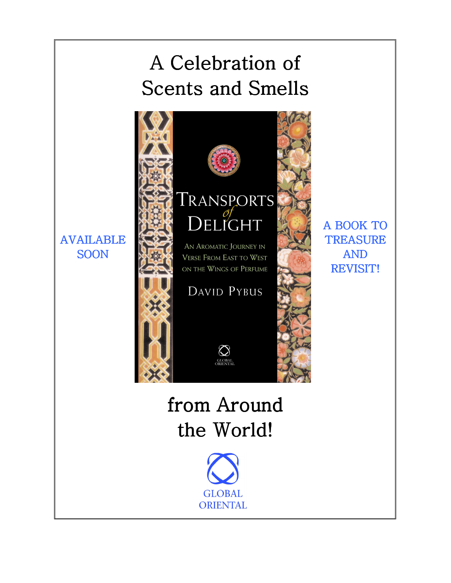## A Celebration of Scents and Smells



**GLOBAL ORIENTAL** 

AND REVISIT! REVISIT!

AVAILABLE **SOON**